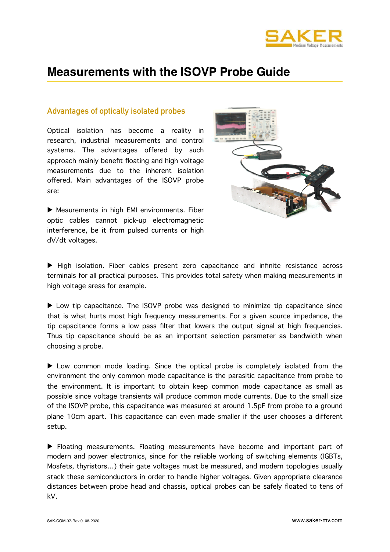

# **Measurements with the ISOVP Probe Guide**

## **Advantages of optically isolated probes**

Optical isolation has become a reality in research, industrial measurements and control systems. The advantages offered by such approach mainly benefit floating and high voltage measurements due to the inherent isolation offered. Main advantages of the ISOVP probe are:



▶ Meaurements in high EMI environments. Fiber optic cables cannot pick-up electromagnetic interference, be it from pulsed currents or high dV/dt voltages.

▶ High isolation. Fiber cables present zero capacitance and infinite resistance across terminals for all practical purposes. This provides total safety when making measurements in high voltage areas for example.

▶ Low tip capacitance. The ISOVP probe was designed to minimize tip capacitance since that is what hurts most high frequency measurements. For a given source impedance, the tip capacitance forms a low pass filter that lowers the output signal at high frequencies. Thus tip capacitance should be as an important selection parameter as bandwidth when choosing a probe.

▶ Low common mode loading. Since the optical probe is completely isolated from the environment the only common mode capacitance is the parasitic capacitance from probe to the environment. It is important to obtain keep common mode capacitance as small as possible since voltage transients will produce common mode currents. Due to the small size of the ISOVP probe, this capacitance was measured at around 1.5pF from probe to a ground plane 10cm apart. This capacitance can even made smaller if the user chooses a different setup.

▶ Floating measurements. Floating measurements have become and important part of modern and power electronics, since for the reliable working of switching elements (IGBTs, Mosfets, thyristors…) their gate voltages must be measured, and modern topologies usually stack these semiconductors in order to handle higher voltages. Given appropriate clearance distances between probe head and chassis, optical probes can be safely floated to tens of kV.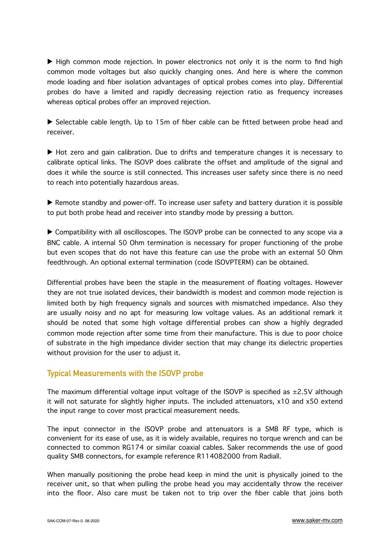▶ High common mode rejection. In power electronics not only it is the norm to find high common mode voltages but also quickly changing ones. And here is where the common mode loading and fiber isolation advantages of optical probes comes into play. Differential probes do have a limited and rapidly decreasing rejection ratio as frequency increases whereas optical probes offer an improved rejection.

▶ Selectable cable length. Up to 15m of fiber cable can be fitted between probe head and receiver.

▶ Hot zero and gain calibration. Due to drifts and temperature changes it is necessary to calibrate optical links. The ISOVP does calibrate the offset and amplitude of the signal and does it while the source is still connected. This increases user safety since there is no need to reach into potentially hazardous areas.

▶ Remote standby and power-off. To increase user safety and battery duration it is possible to put both probe head and receiver into standby mode by pressing a button.

▶ Compatibility with all oscilloscopes. The ISOVP probe can be connected to any scope via a BNC cable. A internal 50 Ohm termination is necessary for proper functioning of the probe but even scopes that do not have this feature can use the probe with an external 50 Ohm feedthrough. An optional external termination (code ISOVPTERM) can be obtained.

Differential probes have been the staple in the measurement of floating voltages. However they are not true isolated devices, their bandwidth is modest and common mode rejection is limited both by high frequency signals and sources with mismatched impedance. Also they are usually noisy and no apt for measuring low voltage values. As an additional remark it should be noted that some high voltage differential probes can show a highly degraded common mode rejection after some time from their manufacture. This is due to poor choice of substrate in the high impedance divider section that may change its dielectric properties without provision for the user to adjust it.

# **Typical Measurements with the ISOVP probe**

The maximum differential voltage input voltage of the ISOVP is specified as  $\pm 2.5$ V although it will not saturate for slightly higher inputs. The included attenuators, x10 and x50 extend the input range to cover most practical measurement needs.

The input connector in the ISOVP probe and attenuators is a SMB RF type, which is convenient for its ease of use, as it is widely available, requires no torque wrench and can be connected to common RG174 or similar coaxial cables. Saker recommends the use of good quality SMB connectors, for example reference R114082000 from Radiall.

When manually positioning the probe head keep in mind the unit is physically joined to the receiver unit, so that when pulling the probe head you may accidentally throw the receiver into the floor. Also care must be taken not to trip over the fiber cable that joins both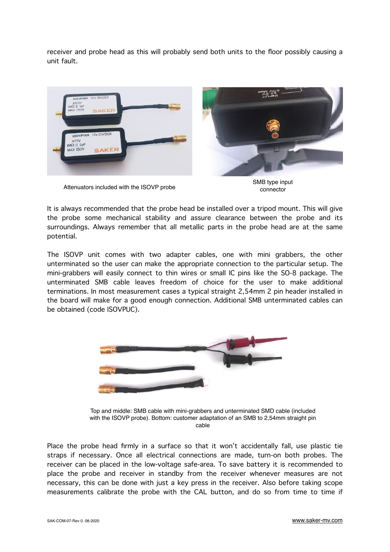receiver and probe head as this will probably send both units to the floor possibly causing a unit fault.



SMB type input<br>Attenuators included with the ISOVP probe connector connector

It is always recommended that the probe head be installed over a tripod mount. This will give the probe some mechanical stability and assure clearance between the probe and its surroundings. Always remember that all metallic parts in the probe head are at the same potential.

The ISOVP unit comes with two adapter cables, one with mini grabbers, the other unterminated so the user can make the appropriate connection to the particular setup. The mini-grabbers will easily connect to thin wires or small IC pins like the SO-8 package. The unterminated SMB cable leaves freedom of choice for the user to make additional terminations. In most measurement cases a typical straight 2,54mm 2 pin header installed in the board will make for a good enough connection. Additional SMB unterminated cables can be obtained (code ISOVPUC).



Top and middle: SMB cable with mini-grabbers and unterminated SMD cable (included with the ISOVP probe). Bottom: customer adaptation of an SMB to 2,54mm straight pin cable

Place the probe head firmly in a surface so that it won't accidentally fall, use plastic tie straps if necessary. Once all electrical connections are made, turn-on both probes. The receiver can be placed in the low-voltage safe-area. To save battery it is recommended to place the probe and receiver in standby from the receiver whenever measures are not necessary, this can be done with just a key press in the receiver. Also before taking scope measurements calibrate the probe with the CAL button, and do so from time to time if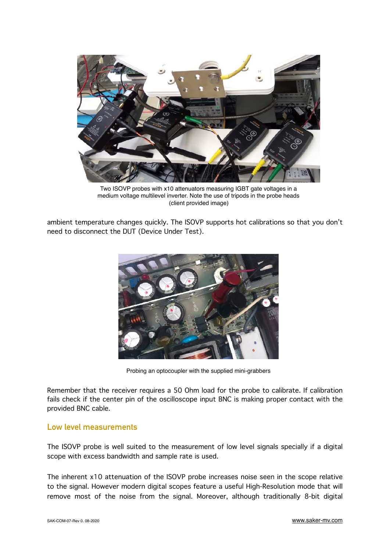

Two ISOVP probes with x10 attenuators measuring IGBT gate voltages in a medium voltage multilevel inverter. Note the use of tripods in the probe heads (client provided image)

ambient temperature changes quickly. The ISOVP supports hot calibrations so that you don't need to disconnect the DUT (Device Under Test).



Probing an optocoupler with the supplied mini-grabbers

Remember that the receiver requires a 50 Ohm load for the probe to calibrate. If calibration fails check if the center pin of the oscilloscope input BNC is making proper contact with the provided BNC cable.

### **Low level measurements**

The ISOVP probe is well suited to the measurement of low level signals specially if a digital scope with excess bandwidth and sample rate is used.

The inherent x10 attenuation of the ISOVP probe increases noise seen in the scope relative to the signal. However modern digital scopes feature a useful High-Resolution mode that will remove most of the noise from the signal. Moreover, although traditionally 8-bit digital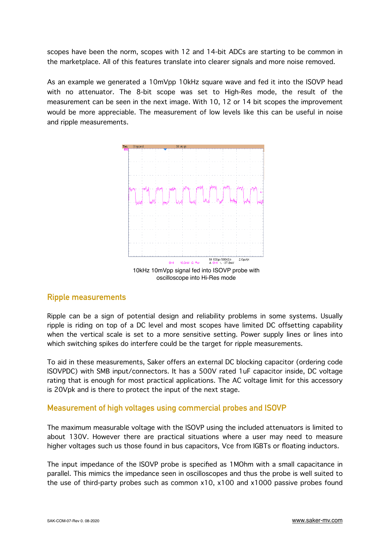scopes have been the norm, scopes with 12 and 14-bit ADCs are starting to be common in the marketplace. All of this features translate into clearer signals and more noise removed.

As an example we generated a 10mVpp 10kHz square wave and fed it into the ISOVP head with no attenuator. The 8-bit scope was set to High-Res mode, the result of the measurement can be seen in the next image. With 10, 12 or 14 bit scopes the improvement would be more appreciable. The measurement of low levels like this can be useful in noise and ripple measurements.



#### **Ripple measurements**

Ripple can be a sign of potential design and reliability problems in some systems. Usually ripple is riding on top of a DC level and most scopes have limited DC offsetting capability when the vertical scale is set to a more sensitive setting. Power supply lines or lines into which switching spikes do interfere could be the target for ripple measurements.

To aid in these measurements, Saker offers an external DC blocking capacitor (ordering code ISOVPDC) with SMB input/connectors. It has a 500V rated 1uF capacitor inside, DC voltage rating that is enough for most practical applications. The AC voltage limit for this accessory is 20Vpk and is there to protect the input of the next stage.

# **Measurement of high voltages using commercial probes and ISOVP**

The maximum measurable voltage with the ISOVP using the included attenuators is limited to about 130V. However there are practical situations where a user may need to measure higher voltages such us those found in bus capacitors, Vce from IGBTs or floating inductors.

The input impedance of the ISOVP probe is specified as 1MOhm with a small capacitance in parallel. This mimics the impedance seen in oscilloscopes and thus the probe is well suited to the use of third-party probes such as common x10, x100 and x1000 passive probes found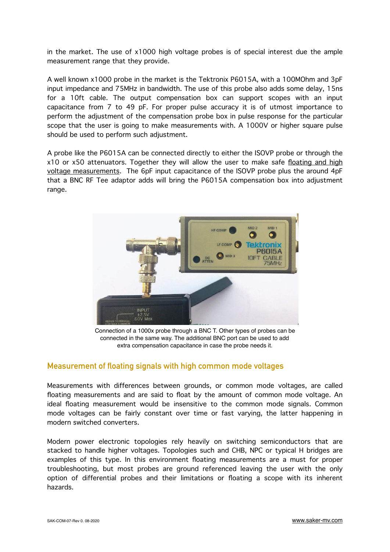in the market. The use of x1000 high voltage probes is of special interest due the ample measurement range that they provide.

A well known x1000 probe in the market is the Tektronix P6015A, with a 100MOhm and 3pF input impedance and 75MHz in bandwidth. The use of this probe also adds some delay, 15ns for a 10ft cable. The output compensation box can support scopes with an input capacitance from 7 to 49 pF. For proper pulse accuracy it is of utmost importance to perform the adjustment of the compensation probe box in pulse response for the particular scope that the user is going to make measurements with. A 1000V or higher square pulse should be used to perform such adjustment.

A probe like the P6015A can be connected directly to either the ISOVP probe or through the x10 or x50 attenuators. Together they will allow the user to make safe floating and high voltage measurements. The 6pF input capacitance of the ISOVP probe plus the around 4pF that a BNC RF Tee adaptor adds will bring the P6015A compensation box into adjustment range.



Connection of a 1000x probe through a BNC T. Other types of probes can be connected in the same way. The additional BNC port can be used to add extra compensation capacitance in case the probe needs it.

#### **Measurement of floating signals with high common mode voltages**

Measurements with differences between grounds, or common mode voltages, are called floating measurements and are said to float by the amount of common mode voltage. An ideal floating measurement would be insensitive to the common mode signals. Common mode voltages can be fairly constant over time or fast varying, the latter happening in modern switched converters.

Modern power electronic topologies rely heavily on switching semiconductors that are stacked to handle higher voltages. Topologies such and CHB, NPC or typical H bridges are examples of this type. In this environment floating measurements are a must for proper troubleshooting, but most probes are ground referenced leaving the user with the only option of differential probes and their limitations or floating a scope with its inherent hazards.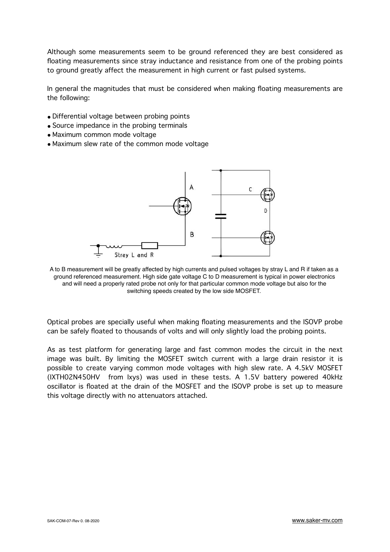Although some measurements seem to be ground referenced they are best considered as floating measurements since stray inductance and resistance from one of the probing points to ground greatly affect the measurement in high current or fast pulsed systems.

In general the magnitudes that must be considered when making floating measurements are the following:

- Differential voltage between probing points
- Source impedance in the probing terminals
- Maximum common mode voltage
- Maximum slew rate of the common mode voltage



A to B measurement will be greatly affected by high currents and pulsed voltages by stray L and R if taken as a ground referenced measurement. High side gate voltage C to D measurement is typical in power electronics and will need a properly rated probe not only for that particular common mode voltage but also for the switching speeds created by the low side MOSFET.

Optical probes are specially useful when making floating measurements and the ISOVP probe can be safely floated to thousands of volts and will only slightly load the probing points.

As as test platform for generating large and fast common modes the circuit in the next image was built. By limiting the MOSFET switch current with a large drain resistor it is possible to create varying common mode voltages with high slew rate. A 4.5kV MOSFET (IXTH02N450HV from Ixys) was used in these tests. A 1.5V battery powered 40kHz oscillator is floated at the drain of the MOSFET and the ISOVP probe is set up to measure this voltage directly with no attenuators attached.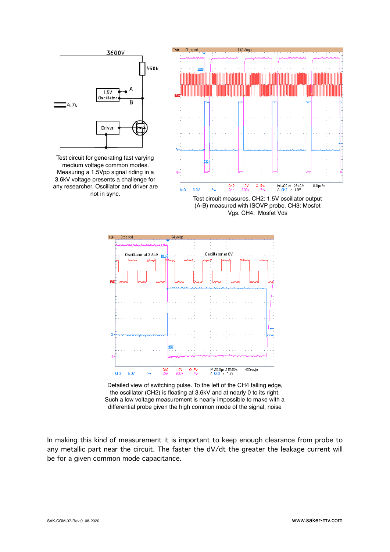

Test circuit for generating fast varying medium voltage common modes. Measuring a 1.5Vpp signal riding in a 3.6kV voltage presents a challenge for any researcher. Oscillator and driver are



(A-B) measured with ISOVP probe. CH3: Mosfet Vgs. CH4: Mosfet Vds



Detailed view of switching pulse. To the left of the CH4 falling edge, the oscillator (CH2) is floating at 3.6kV and at nearly 0 to its right. Such a low voltage measurement is nearly impossible to make with a differential probe given the high common mode of the signal, noise

In making this kind of measurement it is important to keep enough clearance from probe to any metallic part near the circuit. The faster the dV/dt the greater the leakage current will be for a given common mode capacitance.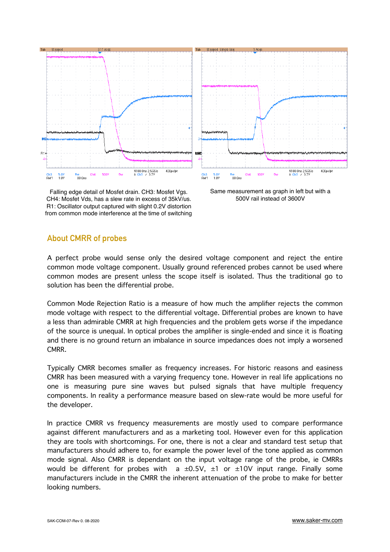

Falling edge detail of Mosfet drain. CH3: Mosfet Vgs. CH4: Mosfet Vds, has a slew rate in excess of 35kV/us. R1: Oscillator output captured with slight 0.2V distortion from common mode interference at the time of switching

Same measurement as graph in left but with a 500V rail instead of 3600V

## **About CMRR of probes**

A perfect probe would sense only the desired voltage component and reject the entire common mode voltage component. Usually ground referenced probes cannot be used where common modes are present unless the scope itself is isolated. Thus the traditional go to solution has been the differential probe.

Common Mode Rejection Ratio is a measure of how much the amplifier rejects the common mode voltage with respect to the differential voltage. Differential probes are known to have a less than admirable CMRR at high frequencies and the problem gets worse if the impedance of the source is unequal. In optical probes the amplifier is single-ended and since it is floating and there is no ground return an imbalance in source impedances does not imply a worsened CMRR.

Typically CMRR becomes smaller as frequency increases. For historic reasons and easiness CMRR has been measured with a varying frequency tone. However in real life applications no one is measuring pure sine waves but pulsed signals that have multiple frequency components. In reality a performance measure based on slew-rate would be more useful for the developer.

In practice CMRR vs frequency measurements are mostly used to compare performance against different manufacturers and as a marketing tool. However even for this application they are tools with shortcomings. For one, there is not a clear and standard test setup that manufacturers should adhere to, for example the power level of the tone applied as common mode signal. Also CMRR is dependant on the input voltage range of the probe, ie CMRRs would be different for probes with a  $\pm 0.5$ V,  $\pm 1$  or  $\pm 10$ V input range. Finally some manufacturers include in the CMRR the inherent attenuation of the probe to make for better looking numbers.